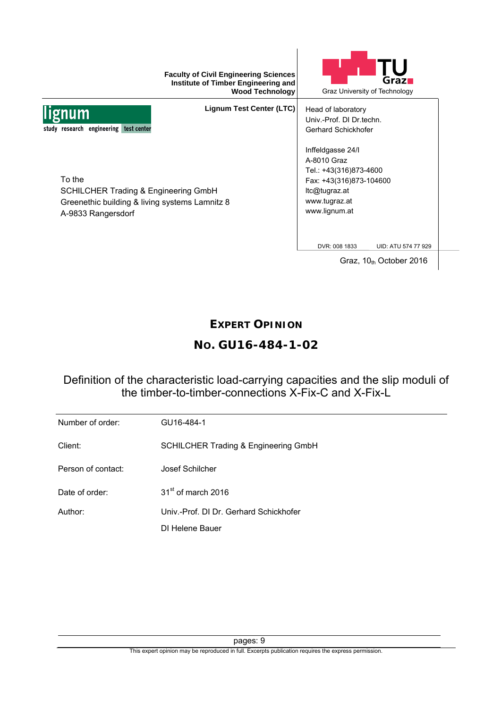|                                                                                                                                   | <b>Faculty of Civil Engineering Sciences</b><br>Institute of Timber Engineering and<br><b>Wood Technology</b> |                                                                                                                                          | $G$ raz $\blacksquare$<br>Graz University of Technology |
|-----------------------------------------------------------------------------------------------------------------------------------|---------------------------------------------------------------------------------------------------------------|------------------------------------------------------------------------------------------------------------------------------------------|---------------------------------------------------------|
| <b>um</b><br>study research engineering test center                                                                               | <b>Lignum Test Center (LTC)</b>                                                                               | Head of laboratory<br>Univ.-Prof. DI Dr.techn.<br>Gerhard Schickhofer                                                                    |                                                         |
| To the<br><b>SCHILCHER Trading &amp; Engineering GmbH</b><br>Greenethic building & living systems Lamnitz 8<br>A-9833 Rangersdorf |                                                                                                               | Inffeldgasse 24/I<br>A-8010 Graz<br>Tel.: +43(316)873-4600<br>Fax: +43(316)873-104600<br>Itc@tugraz.at<br>www.tugraz.at<br>www.lignum.at |                                                         |
|                                                                                                                                   |                                                                                                               | DVR: 008 1833                                                                                                                            | UID: ATU 574 77 929                                     |
|                                                                                                                                   |                                                                                                               |                                                                                                                                          | Graz, $10th$ October 2016                               |

## **EXPERT OPINION**

# **NO. GU16-484-1-02**

## Definition of the characteristic load-carrying capacities and the slip moduli of the timber-to-timber-connections X-Fix-C and X-Fix-L

| Number of order:   | GU16-484-1                                      |
|--------------------|-------------------------------------------------|
| Client:            | <b>SCHILCHER Trading &amp; Engineering GmbH</b> |
| Person of contact: | Josef Schilcher                                 |
| Date of order:     | 31 <sup>st</sup> of march 2016                  |
| Author:            | Univ.-Prof. DI Dr. Gerhard Schickhofer          |
|                    | DI Helene Bauer                                 |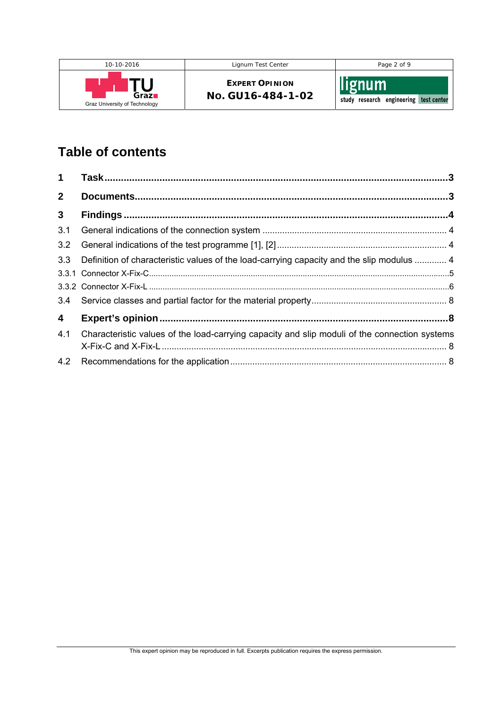

# **Table of contents**

| $\mathbf 1$             |                                                                                               |  |
|-------------------------|-----------------------------------------------------------------------------------------------|--|
| 2 <sup>1</sup>          |                                                                                               |  |
| $\mathbf{3}$            |                                                                                               |  |
| 3.1                     |                                                                                               |  |
| 3.2                     |                                                                                               |  |
| 3.3                     | Definition of characteristic values of the load-carrying capacity and the slip modulus  4     |  |
|                         |                                                                                               |  |
|                         |                                                                                               |  |
| 3.4                     |                                                                                               |  |
| $\overline{\mathbf{4}}$ |                                                                                               |  |
| 4.1                     | Characteristic values of the load-carrying capacity and slip moduli of the connection systems |  |
|                         |                                                                                               |  |
| 4.2                     |                                                                                               |  |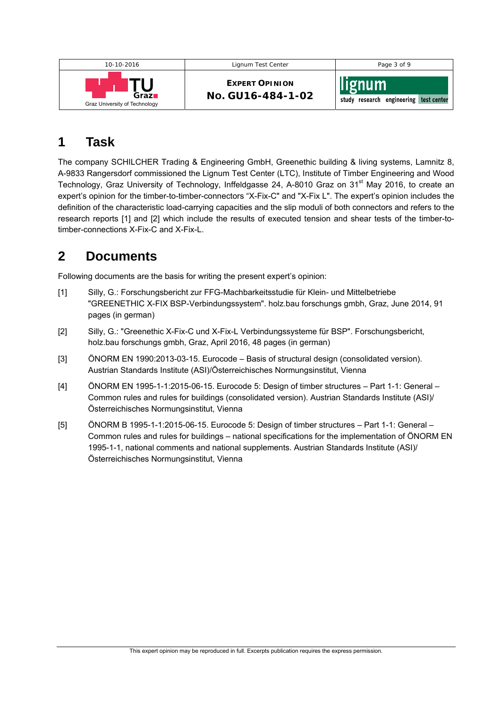| 10-10-2016                    | Lignum Test Center    | Page 3 of 9                            |
|-------------------------------|-----------------------|----------------------------------------|
| Graz <b>n</b>                 | <b>EXPERT OPINION</b> | lignum                                 |
| Graz University of Technology | No. GU16-484-1-02     | study research engineering test center |

# **1 Task**

The company SCHILCHER Trading & Engineering GmbH, Greenethic building & living systems, Lamnitz 8, A-9833 Rangersdorf commissioned the Lignum Test Center (LTC), Institute of Timber Engineering and Wood Technology, Graz University of Technology, Inffeldgasse 24, A-8010 Graz on 31<sup>st</sup> May 2016, to create an expert's opinion for the timber-to-timber-connectors "X-Fix-C" and "X-Fix L". The expert's opinion includes the definition of the characteristic load-carrying capacities and the slip moduli of both connectors and refers to the research reports [1] and [2] which include the results of executed tension and shear tests of the timber-totimber-connections X-Fix-C and X-Fix-L.

# **2 Documents**

Following documents are the basis for writing the present expert's opinion:

- [1] Silly, G.: Forschungsbericht zur FFG-Machbarkeitsstudie für Klein- und Mittelbetriebe "GREENETHIC X-FIX BSP-Verbindungssystem". holz.bau forschungs gmbh, Graz, June 2014, 91 pages (in german)
- [2] Silly, G.: "Greenethic X-Fix-C und X-Fix-L Verbindungssysteme für BSP". Forschungsbericht, holz.bau forschungs gmbh, Graz, April 2016, 48 pages (in german)
- [3] ÖNORM EN 1990:2013-03-15. Eurocode Basis of structural design (consolidated version). Austrian Standards Institute (ASI)/Österreichisches Normungsinstitut, Vienna
- [4] ÖNORM EN 1995-1-1:2015-06-15. Eurocode 5: Design of timber structures ‒ Part 1-1: General Common rules and rules for buildings (consolidated version). Austrian Standards Institute (ASI)/ Österreichisches Normungsinstitut, Vienna
- [5] ÖNORM B 1995-1-1:2015-06-15. Eurocode 5: Design of timber structures ‒ Part 1-1: General Common rules and rules for buildings – national specifications for the implementation of ÖNORM EN 1995-1-1, national comments and national supplements. Austrian Standards Institute (ASI)/ Österreichisches Normungsinstitut, Vienna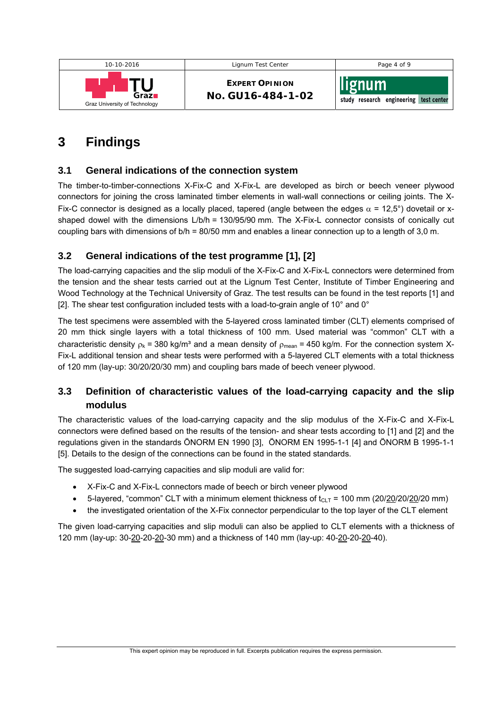

# **3 Findings**

### **3.1 General indications of the connection system**

The timber-to-timber-connections X-Fix-C and X-Fix-L are developed as birch or beech veneer plywood connectors for joining the cross laminated timber elements in wall-wall connections or ceiling joints. The X-Fix-C connector is designed as a locally placed, tapered (angle between the edges  $\alpha$  = 12,5°) dovetail or xshaped dowel with the dimensions L/b/h = 130/95/90 mm. The X-Fix-L connector consists of conically cut coupling bars with dimensions of b/h = 80/50 mm and enables a linear connection up to a length of 3,0 m.

## **3.2 General indications of the test programme [1], [2]**

The load-carrying capacities and the slip moduli of the X-Fix-C and X-Fix-L connectors were determined from the tension and the shear tests carried out at the Lignum Test Center, Institute of Timber Engineering and Wood Technology at the Technical University of Graz. The test results can be found in the test reports [1] and [2]. The shear test configuration included tests with a load-to-grain angle of 10° and 0°

The test specimens were assembled with the 5-layered cross laminated timber (CLT) elements comprised of 20 mm thick single layers with a total thickness of 100 mm. Used material was "common" CLT with a characteristic density  $\rho_k = 380 \text{ kg/m}^3$  and a mean density of  $\rho_{\text{mean}} = 450 \text{ kg/m}$ . For the connection system X-Fix-L additional tension and shear tests were performed with a 5-layered CLT elements with a total thickness of 120 mm (lay-up: 30/20/20/30 mm) and coupling bars made of beech veneer plywood.

## **3.3 Definition of characteristic values of the load-carrying capacity and the slip modulus**

The characteristic values of the load-carrying capacity and the slip modulus of the X-Fix-C and X-Fix-L connectors were defined based on the results of the tension- and shear tests according to [1] and [2] and the regulations given in the standards ÖNORM EN 1990 [3], ÖNORM EN 1995-1-1 [4] and ÖNORM B 1995-1-1 [5]. Details to the design of the connections can be found in the stated standards.

The suggested load-carrying capacities and slip moduli are valid for:

- X-Fix-C and X-Fix-L connectors made of beech or birch veneer plywood
- 5-layered, "common" CLT with a minimum element thickness of  $t_{CLT}$  = 100 mm (20/20/20/20/20 mm)
- the investigated orientation of the X-Fix connector perpendicular to the top layer of the CLT element

The given load-carrying capacities and slip moduli can also be applied to CLT elements with a thickness of 120 mm (lay-up: 30-20-20-20-30 mm) and a thickness of 140 mm (lay-up: 40-20-20-20-40).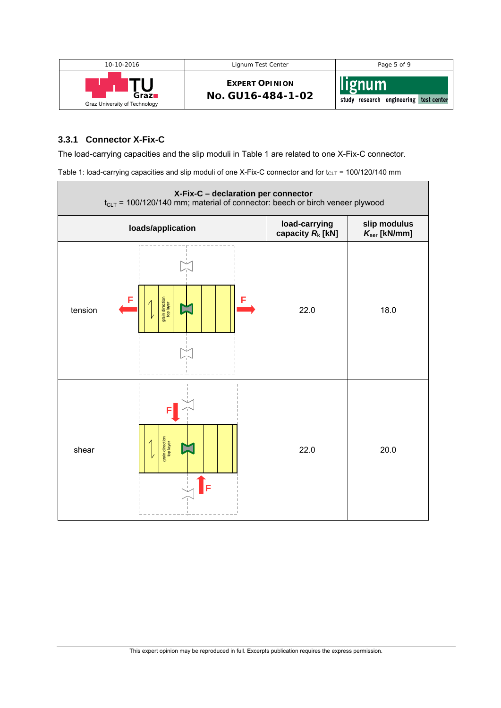

#### **3.3.1 Connector X-Fix-C**

The load-carrying capacities and the slip moduli in Table 1 are related to one X-Fix-C connector.

Table 1: load-carrying capacities and slip moduli of one X-Fix-C connector and for  $t_{CLT}$  = 100/120/140 mm

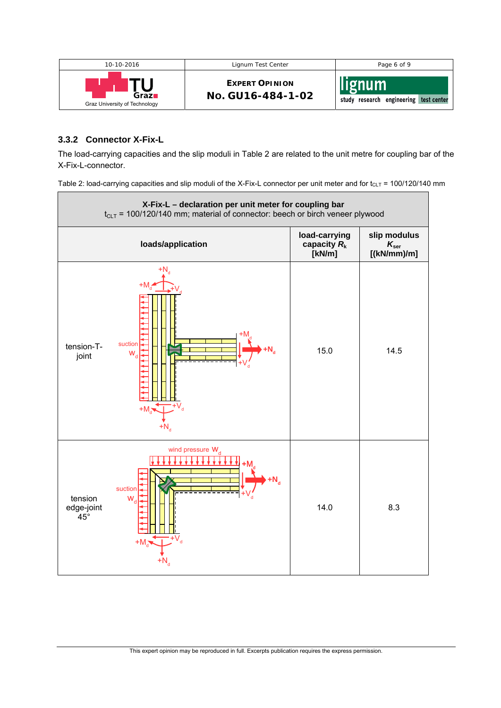

#### **3.3.2 Connector X-Fix-L**

The load-carrying capacities and the slip moduli in Table 2 are related to the unit metre for coupling bar of the X-Fix-L-connector.

Table 2: load-carrying capacities and slip moduli of the X-Fix-L connector per unit meter and for  $t_{CLT}$  = 100/120/140 mm

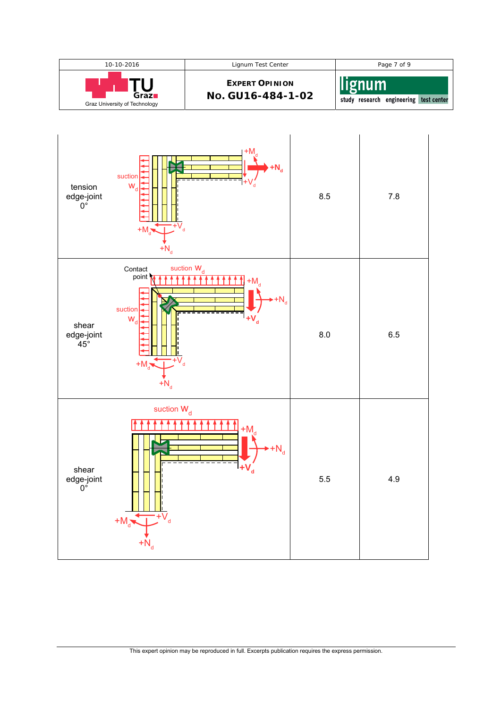

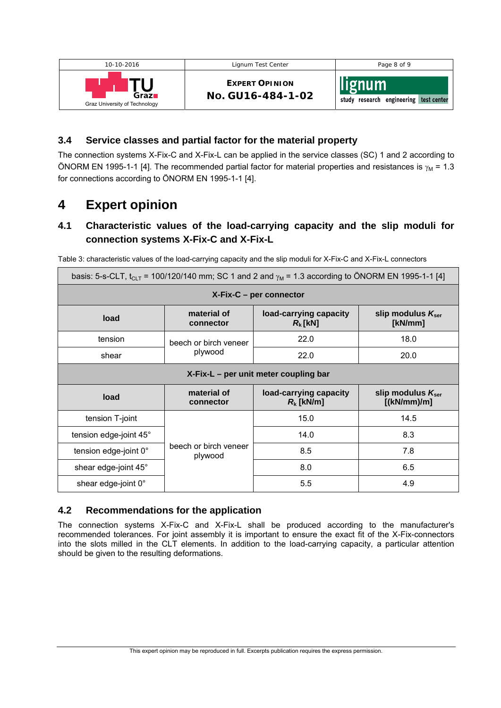| 10-10-2016                    | Lignum Test Center    | Page 8 of 9                            |
|-------------------------------|-----------------------|----------------------------------------|
| Graz <b>n</b>                 | <b>EXPERT OPINION</b> | llignum                                |
| Graz University of Technology | No. GU16-484-1-02     | study research engineering test center |

### **3.4 Service classes and partial factor for the material property**

The connection systems X-Fix-C and X-Fix-L can be applied in the service classes (SC) 1 and 2 according to ÖNORM EN 1995-1-1 [4]. The recommended partial factor for material properties and resistances is  $\gamma_M$  = 1.3 for connections according to ÖNORM EN 1995-1-1 [4].

## **4 Expert opinion**

## **4.1 Characteristic values of the load-carrying capacity and the slip moduli for connection systems X-Fix-C and X-Fix-L**

| basis: 5-s-CLT, t <sub>CLT</sub> = 100/120/140 mm; SC 1 and 2 and $\gamma_M$ = 1.3 according to ÖNORM EN 1995-1-1 [4] |                                  |                                        |                                              |  |  |
|-----------------------------------------------------------------------------------------------------------------------|----------------------------------|----------------------------------------|----------------------------------------------|--|--|
| $X-Fix-C - per connector$                                                                                             |                                  |                                        |                                              |  |  |
| load                                                                                                                  | material of<br>connector         | load-carrying capacity<br>$R_{k}$ [kN] | slip modulus $K_{\text{ser}}$<br>[kN/mm]     |  |  |
| tension                                                                                                               | beech or birch veneer<br>plywood | 22.0                                   | 18.0                                         |  |  |
| shear                                                                                                                 |                                  | 22.0                                   | 20.0                                         |  |  |
| X-Fix-L – per unit meter coupling bar                                                                                 |                                  |                                        |                                              |  |  |
| load                                                                                                                  | material of<br>connector         | load-carrying capacity<br>$R_k$ [kN/m] | slip modulus $K_{\text{ser}}$<br>[(kN/mm)/m] |  |  |
| tension T-joint                                                                                                       | beech or birch veneer<br>plywood | 15.0                                   | 14.5                                         |  |  |
| tension edge-joint 45°                                                                                                |                                  | 14.0                                   | 8.3                                          |  |  |
| tension edge-joint 0°                                                                                                 |                                  | 8.5                                    | 7.8                                          |  |  |
| shear edge-joint 45°                                                                                                  |                                  | 8.0                                    | 6.5                                          |  |  |
| shear edge-joint 0°                                                                                                   |                                  | 5.5                                    | 4.9                                          |  |  |

Table 3: characteristic values of the load-carrying capacity and the slip moduli for X-Fix-C and X-Fix-L connectors

#### **4.2 Recommendations for the application**

The connection systems X-Fix-C and X-Fix-L shall be produced according to the manufacturer's recommended tolerances. For joint assembly it is important to ensure the exact fit of the X-Fix-connectors into the slots milled in the CLT elements. In addition to the load-carrying capacity, a particular attention should be given to the resulting deformations.